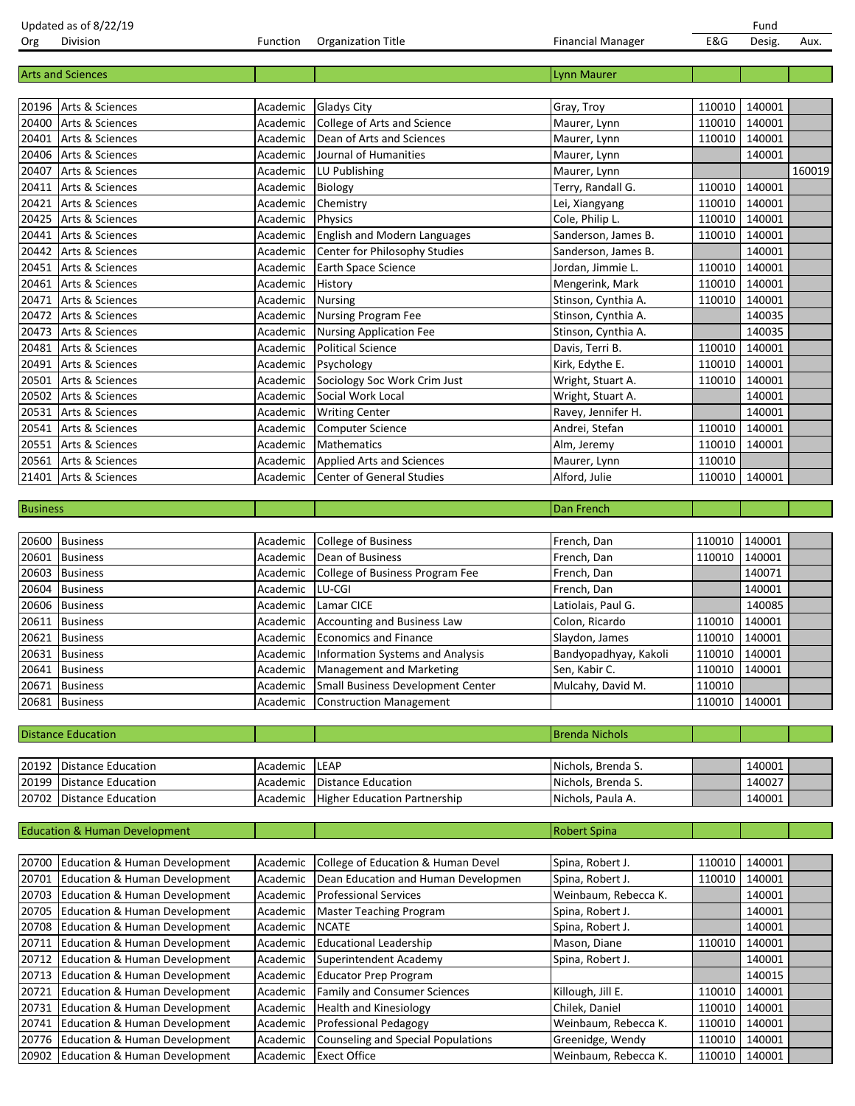|                 | <b>Arts and Sciences</b>                 |          |                                           | <b>Lynn Maurer</b>    |               |               |        |
|-----------------|------------------------------------------|----------|-------------------------------------------|-----------------------|---------------|---------------|--------|
|                 |                                          |          |                                           |                       |               |               |        |
|                 | 20196 Arts & Sciences                    | Academic | <b>Gladys City</b>                        | Gray, Troy            | 110010        | 140001        |        |
| 20400           | Arts & Sciences                          | Academic | College of Arts and Science               | Maurer, Lynn          | 110010        | 140001        |        |
| 20401           | Arts & Sciences                          | Academic | Dean of Arts and Sciences                 | Maurer, Lynn          | 110010        | 140001        |        |
| 20406           | Arts & Sciences                          | Academic | Journal of Humanities                     | Maurer, Lynn          |               | 140001        |        |
| 20407           | Arts & Sciences                          | Academic | LU Publishing                             | Maurer, Lynn          |               |               | 160019 |
| 20411           | Arts & Sciences                          | Academic | Biology                                   | Terry, Randall G.     | 110010        | 140001        |        |
| 20421           | Arts & Sciences                          | Academic | Chemistry                                 | Lei, Xiangyang        | 110010        | 140001        |        |
| 20425           | Arts & Sciences                          | Academic | <b>Physics</b>                            | Cole, Philip L.       | 110010        | 140001        |        |
| 20441           | Arts & Sciences                          | Academic | English and Modern Languages              | Sanderson, James B.   | 110010        | 140001        |        |
| 20442           | Arts & Sciences                          | Academic | Center for Philosophy Studies             | Sanderson, James B.   |               | 140001        |        |
| 20451           | Arts & Sciences                          | Academic | Earth Space Science                       | Jordan, Jimmie L.     | 110010        | 140001        |        |
| 20461           | Arts & Sciences                          | Academic | History                                   | Mengerink, Mark       | 110010        | 140001        |        |
| 20471           | Arts & Sciences                          | Academic | <b>Nursing</b>                            | Stinson, Cynthia A.   | 110010        | 140001        |        |
| 20472           | Arts & Sciences                          | Academic | Nursing Program Fee                       | Stinson, Cynthia A.   |               | 140035        |        |
| 20473           | Arts & Sciences                          | Academic | <b>Nursing Application Fee</b>            | Stinson, Cynthia A.   |               | 140035        |        |
| 20481           | Arts & Sciences                          | Academic | <b>Political Science</b>                  | Davis, Terri B.       | 110010        | 140001        |        |
| 20491           | Arts & Sciences                          | Academic | Psychology                                | Kirk, Edythe E.       | 110010        | 140001        |        |
| 20501           | Arts & Sciences                          | Academic | Sociology Soc Work Crim Just              | Wright, Stuart A.     | 110010        | 140001        |        |
| 20502           | Arts & Sciences                          | Academic | Social Work Local                         | Wright, Stuart A.     |               | 140001        |        |
| 20531           | Arts & Sciences                          | Academic | <b>Writing Center</b>                     | Ravey, Jennifer H.    |               | 140001        |        |
| 20541           | Arts & Sciences                          | Academic | <b>Computer Science</b>                   | Andrei, Stefan        | 110010        | 140001        |        |
| 20551           | Arts & Sciences                          | Academic | <b>Mathematics</b>                        | Alm, Jeremy           | 110010        | 140001        |        |
| 20561           | Arts & Sciences                          | Academic | <b>Applied Arts and Sciences</b>          | Maurer, Lynn          | 110010        |               |        |
| 21401           | Arts & Sciences                          | Academic | <b>Center of General Studies</b>          | Alford, Julie         | 110010        | 140001        |        |
|                 |                                          |          |                                           |                       |               |               |        |
| <b>Business</b> |                                          |          |                                           | Dan French            |               |               |        |
|                 |                                          |          |                                           |                       |               |               |        |
| 20600           | <b>Business</b>                          | Academic | College of Business                       | French, Dan           | 110010        | 140001        |        |
| 20601           | <b>Business</b>                          | Academic | Dean of Business                          | French, Dan           | 110010        | 140001        |        |
| 20603           | <b>Business</b>                          | Academic | College of Business Program Fee           | French, Dan           |               | 140071        |        |
| 20604           | <b>Business</b>                          | Academic | LU-CGI                                    | French, Dan           |               | 140001        |        |
| 20606           | <b>Business</b>                          | Academic | Lamar CICE                                | Latiolais, Paul G.    |               | 140085        |        |
| 20611           | <b>Business</b>                          | Academic | Accounting and Business Law               | Colon, Ricardo        | 110010        | 140001        |        |
| 20621           | <b>Business</b>                          | Academic | <b>Economics and Finance</b>              | Slaydon, James        | 110010        | 140001        |        |
| 20631           | <b>Business</b>                          | Academic | <b>Information Systems and Analysis</b>   | Bandyopadhyay, Kakoli | 110010        | 140001        |        |
| 20641           | <b>Business</b>                          | Academic | Management and Marketing                  | Sen, Kabir C.         | 110010        | 140001        |        |
|                 | 20671 Business                           | Academic | Small Business Development Center         | Mulcahy, David M.     | 110010        |               |        |
|                 | 20681 Business                           | Academic | Construction Management                   |                       | 110010 140001 |               |        |
|                 |                                          |          |                                           |                       |               |               |        |
|                 | <b>Distance Education</b>                |          |                                           | <b>Brenda Nichols</b> |               |               |        |
|                 |                                          |          |                                           |                       |               |               |        |
| 20192           | <b>Distance Education</b>                | Academic | LEAP                                      | Nichols, Brenda S.    |               | 140001        |        |
| 20199           | <b>Distance Education</b>                | Academic | <b>Distance Education</b>                 | Nichols, Brenda S.    |               | 140027        |        |
| 20702           | <b>Distance Education</b>                | Academic | <b>Higher Education Partnership</b>       | Nichols, Paula A.     |               | 140001        |        |
|                 |                                          |          |                                           |                       |               |               |        |
|                 | <b>Education &amp; Human Development</b> |          |                                           | <b>Robert Spina</b>   |               |               |        |
|                 |                                          |          |                                           |                       |               |               |        |
| 20700           | Education & Human Development            | Academic | College of Education & Human Devel        | Spina, Robert J.      | 110010        | 140001        |        |
| 20701           | <b>Education &amp; Human Development</b> | Academic | Dean Education and Human Developmen       | Spina, Robert J.      | 110010        | 140001        |        |
| 20703           | <b>Education &amp; Human Development</b> | Academic | <b>Professional Services</b>              | Weinbaum, Rebecca K.  |               | 140001        |        |
| 20705           | Education & Human Development            | Academic | Master Teaching Program                   | Spina, Robert J.      |               | 140001        |        |
| 20708           | <b>Education &amp; Human Development</b> | Academic | <b>NCATE</b>                              | Spina, Robert J.      |               | 140001        |        |
| 20711           | <b>Education &amp; Human Development</b> | Academic | <b>Educational Leadership</b>             | Mason, Diane          | 110010        | 140001        |        |
| 20712           | <b>Education &amp; Human Development</b> | Academic | Superintendent Academy                    | Spina, Robert J.      |               | 140001        |        |
| 20713           | <b>Education &amp; Human Development</b> | Academic | <b>Educator Prep Program</b>              |                       |               | 140015        |        |
| 20721           | Education & Human Development            | Academic | <b>Family and Consumer Sciences</b>       | Killough, Jill E.     | 110010        | 140001        |        |
| 20731           | Education & Human Development            | Academic | <b>Health and Kinesiology</b>             | Chilek, Daniel        | 110010        | 140001        |        |
| 20741           | <b>Education &amp; Human Development</b> | Academic | Professional Pedagogy                     | Weinbaum, Rebecca K.  | 110010        | 140001        |        |
| 20776           | Education & Human Development            | Academic | <b>Counseling and Special Populations</b> | Greenidge, Wendy      | 110010        | 140001        |        |
| 20902           | <b>Education &amp; Human Development</b> | Academic | <b>Exect Office</b>                       | Weinbaum, Rebecca K.  |               | 110010 140001 |        |

Updated as of 8/22/19<br>Org Division **1986 Contracts Contracts Contracts Contracts Contracts Contracts Contracts Contracts Contracts Co**<br>Cong Division 1986 Consigned Consigned Consigned Consigned Consigned Consigned Consigne

Financial Manager **E&G** Desig. Aux.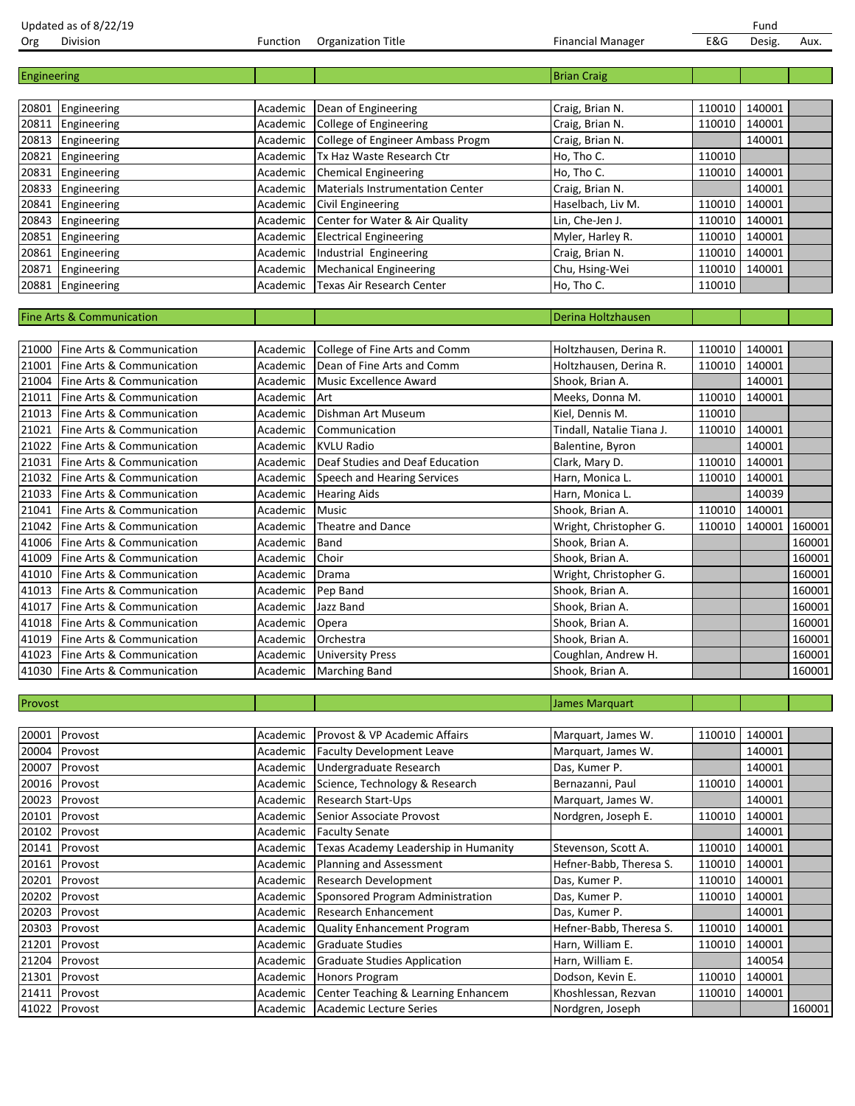| Org         | Division                             | Function | <b>Organization Title</b>               | <b>Financial Manager</b>  | E&G    | Desig. | Aux.   |
|-------------|--------------------------------------|----------|-----------------------------------------|---------------------------|--------|--------|--------|
|             |                                      |          |                                         |                           |        |        |        |
| Engineering |                                      |          |                                         | <b>Brian Craig</b>        |        |        |        |
|             |                                      |          |                                         |                           |        |        |        |
| 20801       | Engineering                          | Academic | Dean of Engineering                     | Craig, Brian N.           | 110010 | 140001 |        |
| 20811       | Engineering                          | Academic | <b>College of Engineering</b>           | Craig, Brian N.           | 110010 | 140001 |        |
| 20813       | Engineering                          | Academic | College of Engineer Ambass Progm        | Craig, Brian N.           |        | 140001 |        |
| 20821       | Engineering                          | Academic | Tx Haz Waste Research Ctr               | Ho, Tho C.                | 110010 |        |        |
| 20831       | Engineering                          | Academic | <b>Chemical Engineering</b>             | Ho, Tho C.                | 110010 | 140001 |        |
| 20833       | Engineering                          | Academic | <b>Materials Instrumentation Center</b> | Craig, Brian N.           |        | 140001 |        |
| 20841       | Engineering                          | Academic | Civil Engineering                       | Haselbach, Liv M.         | 110010 | 140001 |        |
| 20843       | Engineering                          | Academic | Center for Water & Air Quality          | Lin, Che-Jen J.           | 110010 | 140001 |        |
| 20851       | Engineering                          | Academic | <b>Electrical Engineering</b>           | Myler, Harley R.          | 110010 | 140001 |        |
| 20861       | Engineering                          | Academic | Industrial Engineering                  | Craig, Brian N.           | 110010 | 140001 |        |
| 20871       | Engineering                          | Academic | <b>Mechanical Engineering</b>           | Chu, Hsing-Wei            | 110010 | 140001 |        |
|             | 20881 Engineering                    | Academic | Texas Air Research Center               | Ho, Tho C.                | 110010 |        |        |
|             |                                      |          |                                         |                           |        |        |        |
|             | <b>Fine Arts &amp; Communication</b> |          |                                         | Derina Holtzhausen        |        |        |        |
|             |                                      |          |                                         |                           |        |        |        |
| 21000       | Fine Arts & Communication            | Academic | College of Fine Arts and Comm           | Holtzhausen, Derina R.    | 110010 | 140001 |        |
| 21001       | Fine Arts & Communication            | Academic | Dean of Fine Arts and Comm              | Holtzhausen, Derina R.    | 110010 | 140001 |        |
| 21004       | Fine Arts & Communication            | Academic | <b>Music Excellence Award</b>           | Shook, Brian A.           |        | 140001 |        |
| 21011       | Fine Arts & Communication            | Academic | Art                                     | Meeks, Donna M.           | 110010 | 140001 |        |
| 21013       | Fine Arts & Communication            |          | Dishman Art Museum                      | Kiel, Dennis M.           | 110010 |        |        |
| 21021       |                                      | Academic |                                         |                           |        | 140001 |        |
|             | Fine Arts & Communication            | Academic | Communication                           | Tindall, Natalie Tiana J. | 110010 |        |        |
| 21022       | Fine Arts & Communication            | Academic | <b>KVLU Radio</b>                       | Balentine, Byron          |        | 140001 |        |
| 21031       | Fine Arts & Communication            | Academic | Deaf Studies and Deaf Education         | Clark, Mary D.            | 110010 | 140001 |        |
| 21032       | Fine Arts & Communication            | Academic | Speech and Hearing Services             | Harn, Monica L.           | 110010 | 140001 |        |
| 21033       | Fine Arts & Communication            | Academic | <b>Hearing Aids</b>                     | Harn, Monica L.           |        | 140039 |        |
| 21041       | Fine Arts & Communication            | Academic | Music                                   | Shook, Brian A.           | 110010 | 140001 |        |
| 21042       | Fine Arts & Communication            | Academic | Theatre and Dance                       | Wright, Christopher G.    | 110010 | 140001 | 160001 |
| 41006       | Fine Arts & Communication            | Academic | Band                                    | Shook, Brian A.           |        |        | 160001 |
| 41009       | Fine Arts & Communication            | Academic | Choir                                   | Shook, Brian A.           |        |        | 160001 |
| 41010       | Fine Arts & Communication            | Academic | Drama                                   | Wright, Christopher G.    |        |        | 160001 |
| 41013       | Fine Arts & Communication            | Academic | Pep Band                                | Shook, Brian A.           |        |        | 160001 |
| 41017       | Fine Arts & Communication            | Academic | Jazz Band                               | Shook, Brian A.           |        |        | 160001 |
| 41018       | Fine Arts & Communication            | Academic | Opera                                   | Shook, Brian A.           |        |        | 160001 |
| 41019       | Fine Arts & Communication            | Academic | Orchestra                               | Shook, Brian A.           |        |        | 160001 |
| 41023       | Fine Arts & Communication            | Academic | <b>University Press</b>                 | Coughlan, Andrew H.       |        |        | 160001 |
|             | 41030 Fine Arts & Communication      |          | Academic   Marching Band                | Shook, Brian A.           |        |        | 160001 |
|             |                                      |          |                                         |                           |        |        |        |
| Provost     |                                      |          |                                         | James Marquart            |        |        |        |
|             |                                      |          |                                         |                           |        |        |        |
| 20001       | Provost                              | Academic | Provost & VP Academic Affairs           | Marquart, James W.        | 110010 | 140001 |        |
| 20004       | Provost                              | Academic | <b>Faculty Development Leave</b>        | Marquart, James W.        |        | 140001 |        |
| 20007       | Provost                              | Academic | Undergraduate Research                  | Das, Kumer P.             |        | 140001 |        |
| 20016       | Provost                              | Academic | Science, Technology & Research          | Bernazanni, Paul          | 110010 | 140001 |        |
|             | 20023 Provost                        | Academic | Research Start-Ups                      | Marquart, James W.        |        | 140001 |        |
| 20101       | Provost                              | Academic | Senior Associate Provost                | Nordgren, Joseph E.       | 110010 | 140001 |        |
| 20102       | Provost                              | Academic | <b>Faculty Senate</b>                   |                           |        | 140001 |        |
| 20141       | Provost                              | Academic | Texas Academy Leadership in Humanity    | Stevenson, Scott A.       | 110010 | 140001 |        |
| 20161       | Provost                              | Academic | Planning and Assessment                 | Hefner-Babb, Theresa S.   | 110010 | 140001 |        |
| 20201       | Provost                              | Academic | Research Development                    | Das, Kumer P.             | 110010 | 140001 |        |
| 20202       | Provost                              | Academic | Sponsored Program Administration        | Das, Kumer P.             | 110010 | 140001 |        |
| 20203       | Provost                              | Academic | Research Enhancement                    | Das, Kumer P.             |        | 140001 |        |
| 20303       | Provost                              | Academic | Quality Enhancement Program             | Hefner-Babb, Theresa S.   | 110010 | 140001 |        |
| 21201       | Provost                              | Academic | <b>Graduate Studies</b>                 | Harn, William E.          | 110010 | 140001 |        |
|             | 21204 Provost                        | Academic | <b>Graduate Studies Application</b>     | Harn, William E.          |        | 140054 |        |
|             |                                      |          |                                         |                           |        |        |        |

21301 Provost **Academic Honors Program** Dodson, Kevin E. 110010 140001 21411 Provost **Academic Center Teaching & Learning Enhancem** Khoshlessan, Rezvan 110010 140001

41022 Provost **Academic Academic Lecture Series** Nordgren, Joseph 160001

Updated as of 8/22/19<br>
Org Division Contract Contract Contract Contract Contract Contract Contract Contract Contract Contract Contra<br>
Org Division Contract Contract Contract Contract Contract Contract Contract Contract Con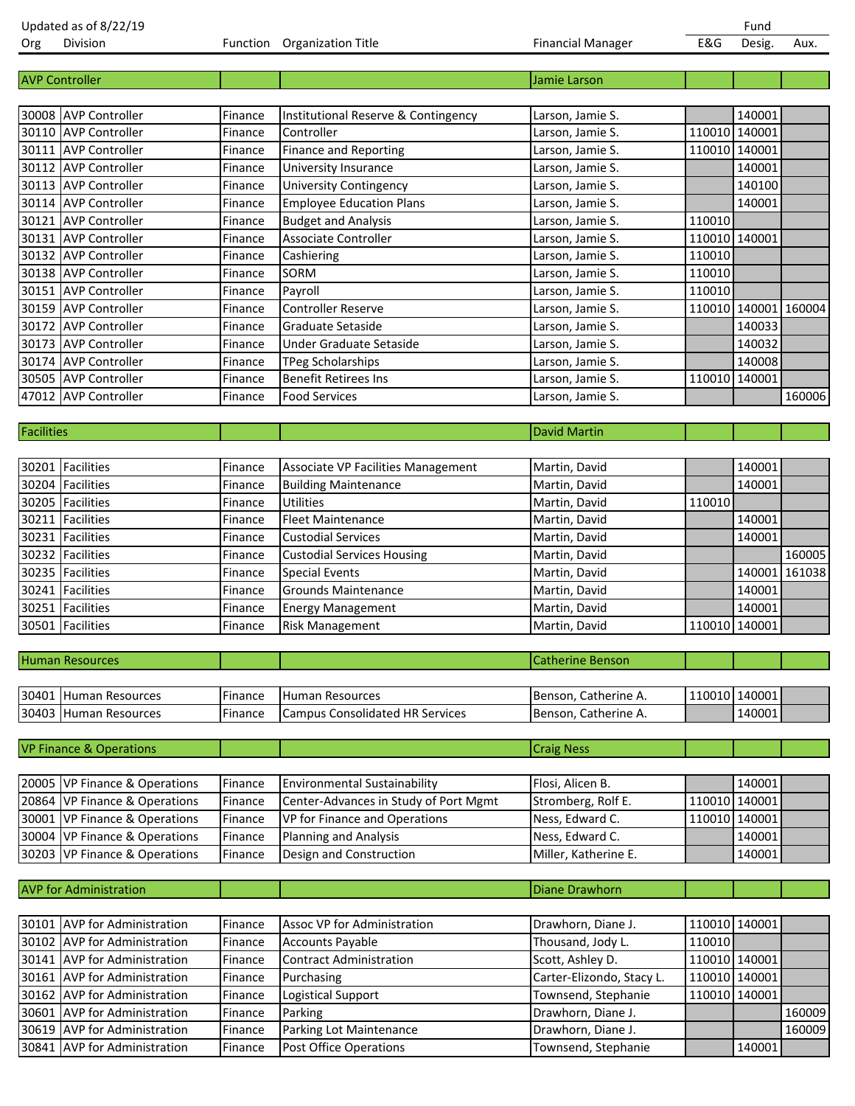| Org        | Division                           |                    | Function Organization Title            | <b>Financial Manager</b>           | E&G    | Desig.               | Aux.          |
|------------|------------------------------------|--------------------|----------------------------------------|------------------------------------|--------|----------------------|---------------|
|            |                                    |                    |                                        |                                    |        |                      |               |
|            | <b>AVP Controller</b>              |                    |                                        | Jamie Larson                       |        |                      |               |
|            |                                    |                    |                                        |                                    |        |                      |               |
|            | 30008 AVP Controller               | Finance            | Institutional Reserve & Contingency    | Larson, Jamie S.                   |        | 140001               |               |
|            | 30110 AVP Controller               | Finance            | Controller                             | Larson, Jamie S.                   |        | 110010 140001        |               |
|            | 30111 AVP Controller               | Finance            | <b>Finance and Reporting</b>           | Larson, Jamie S.                   |        | 110010 140001        |               |
|            | 30112 AVP Controller               | Finance            | University Insurance                   | Larson, Jamie S.                   |        | 140001               |               |
|            | 30113 AVP Controller               | Finance            | <b>University Contingency</b>          | Larson, Jamie S.                   |        | 140100               |               |
|            | 30114 AVP Controller               | Finance            | <b>Employee Education Plans</b>        | Larson, Jamie S.                   |        | 140001               |               |
|            | 30121 AVP Controller               | Finance            | <b>Budget and Analysis</b>             | Larson, Jamie S.                   | 110010 |                      |               |
|            | 30131 AVP Controller               | Finance            | Associate Controller                   | Larson, Jamie S.                   |        | 110010 140001        |               |
|            | 30132 AVP Controller               | Finance            | Cashiering                             | Larson, Jamie S.                   | 110010 |                      |               |
|            | 30138 AVP Controller               | Finance            | SORM                                   | Larson, Jamie S.                   | 110010 |                      |               |
|            | 30151 AVP Controller               | Finance            | Payroll                                | Larson, Jamie S.                   | 110010 |                      |               |
|            | 30159 AVP Controller               | Finance            | <b>Controller Reserve</b>              | Larson, Jamie S.                   |        | 110010 140001 160004 |               |
|            | 30172 AVP Controller               | Finance            | Graduate Setaside                      | Larson, Jamie S.                   |        | 140033               |               |
|            | 30173 AVP Controller               | Finance            | Under Graduate Setaside                | Larson, Jamie S.                   |        | 140032               |               |
|            | 30174 AVP Controller               | Finance            | <b>TPeg Scholarships</b>               | Larson, Jamie S.                   |        | 140008               |               |
|            | 30505 AVP Controller               | Finance            | <b>Benefit Retirees Ins</b>            | Larson, Jamie S.                   |        | 110010 140001        |               |
|            | 47012 AVP Controller               | Finance            | <b>Food Services</b>                   | Larson, Jamie S.                   |        |                      | 160006        |
|            |                                    |                    |                                        |                                    |        |                      |               |
| Facilities |                                    |                    |                                        | <b>David Martin</b>                |        |                      |               |
|            |                                    |                    |                                        |                                    |        |                      |               |
|            | 30201 Facilities                   | Finance            | Associate VP Facilities Management     | Martin, David                      |        | 140001               |               |
|            | 30204 Facilities                   | Finance            | <b>Building Maintenance</b>            | Martin, David                      |        | 140001               |               |
|            | 30205 Facilities                   | Finance            | <b>Utilities</b>                       | Martin, David                      | 110010 |                      |               |
|            | 30211 Facilities                   | Finance            | <b>Fleet Maintenance</b>               | Martin, David                      |        | 140001               |               |
|            | 30231 Facilities                   | Finance            | <b>Custodial Services</b>              | Martin, David                      |        | 140001               |               |
|            | 30232 Facilities                   | Finance            | <b>Custodial Services Housing</b>      | Martin, David                      |        |                      | 160005        |
|            | 30235 Facilities                   | Finance            | <b>Special Events</b>                  | Martin, David                      |        |                      | 140001 161038 |
|            | 30241 Facilities                   | Finance            | <b>Grounds Maintenance</b>             | Martin, David                      |        | 140001               |               |
|            | 30251 Facilities                   | Finance            | <b>Energy Management</b>               | Martin, David                      |        | 140001               |               |
|            | 30501 Facilities                   | Finance            | Risk Management                        | Martin, David                      |        | 110010 140001        |               |
|            |                                    |                    |                                        |                                    |        |                      |               |
|            | <b>Human Resources</b>             |                    |                                        | <b>Catherine Benson</b>            |        |                      |               |
|            |                                    |                    |                                        |                                    |        |                      |               |
|            | 30401 Human Resources              | Finance            | Human Resources                        | Benson, Catherine A.               |        | 110010 140001        |               |
|            | 30403 Human Resources              | Finance            | <b>Campus Consolidated HR Services</b> | Benson, Catherine A.               |        | 140001               |               |
|            |                                    |                    |                                        |                                    |        |                      |               |
|            | <b>VP Finance &amp; Operations</b> |                    |                                        | <b>Craig Ness</b>                  |        |                      |               |
|            |                                    |                    |                                        |                                    |        |                      |               |
|            | 20005 VP Finance & Operations      |                    | <b>Environmental Sustainability</b>    | Flosi, Alicen B.                   |        | 140001               |               |
|            | 20864 VP Finance & Operations      | Finance<br>Finance | Center-Advances in Study of Port Mgmt  | Stromberg, Rolf E.                 |        | 110010 140001        |               |
|            |                                    |                    |                                        |                                    |        |                      |               |
|            | 30001 VP Finance & Operations      | Finance            | VP for Finance and Operations          | Ness, Edward C.<br>Ness, Edward C. |        | 110010 140001        |               |
|            | 30004 VP Finance & Operations      | Finance            | <b>Planning and Analysis</b>           |                                    |        | 140001               |               |
|            | 30203 VP Finance & Operations      | Finance            | Design and Construction                | Miller, Katherine E.               |        | 140001               |               |
|            |                                    |                    |                                        |                                    |        |                      |               |
|            | <b>AVP</b> for Administration      |                    |                                        | <b>Diane Drawhorn</b>              |        |                      |               |
|            |                                    |                    |                                        |                                    |        |                      |               |
|            | 30101 AVP for Administration       | Finance            | Assoc VP for Administration            | Drawhorn, Diane J.                 |        | 110010 140001        |               |
|            | 30102 AVP for Administration       | Finance            | <b>Accounts Payable</b>                | Thousand, Jody L.                  | 110010 |                      |               |
|            | 30141 AVP for Administration       | Finance            | <b>Contract Administration</b>         | Scott, Ashley D.                   |        | 110010 140001        |               |
|            | 30161 AVP for Administration       | Finance            | Purchasing                             | Carter-Elizondo, Stacy L.          |        | 110010 140001        |               |
|            | 30162 AVP for Administration       | Finance            | Logistical Support                     | Townsend, Stephanie                |        | 110010 140001        |               |
|            | 30601 AVP for Administration       | Finance            | Parking                                | Drawhorn, Diane J.                 |        |                      | 160009        |
|            | 30619 AVP for Administration       | Finance            | Parking Lot Maintenance                | Drawhorn, Diane J.                 |        |                      | 160009        |

30841 AVP for Administration Finance Post Office Operations Townsend, Stephanie 140001

Updated as of 8/22/19 Fund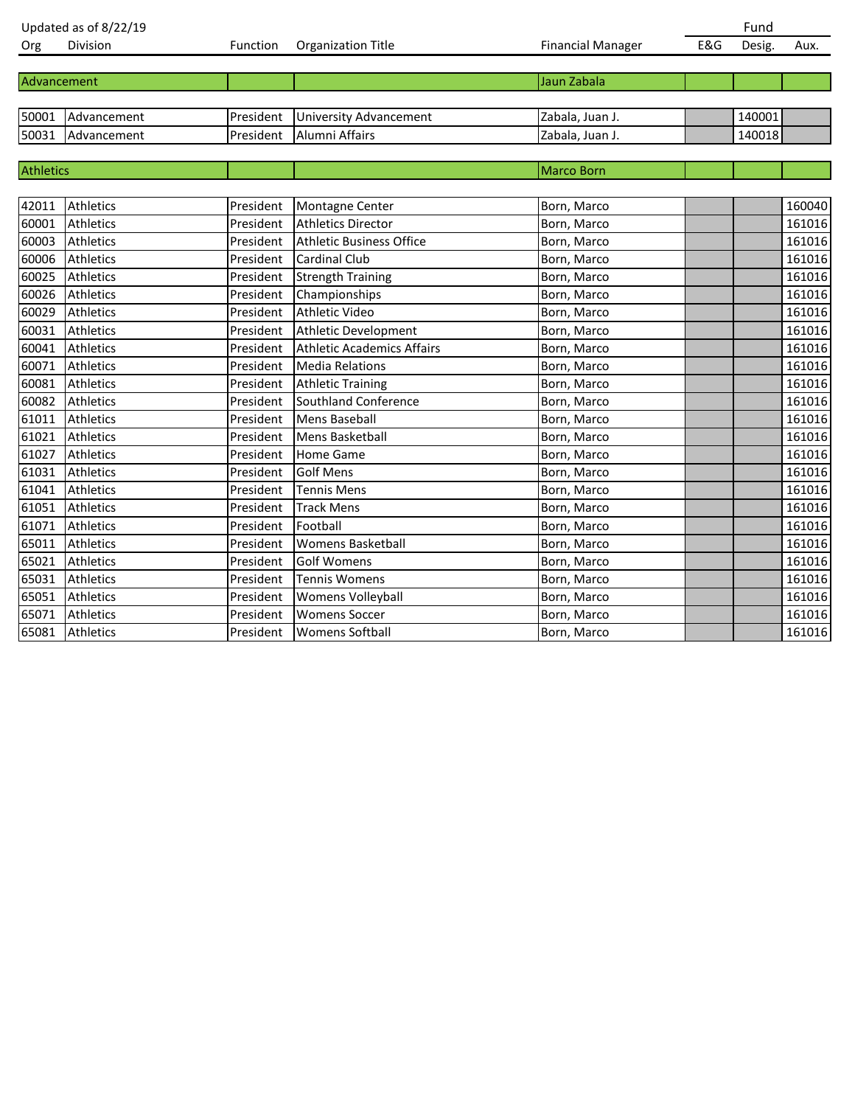|                  | Updated as of 8/22/19 |           |                                   |                          |     | Fund   |        |
|------------------|-----------------------|-----------|-----------------------------------|--------------------------|-----|--------|--------|
| Org              | Division              | Function  | Organization Title                | <b>Financial Manager</b> | E&G | Desig. | Aux.   |
|                  |                       |           |                                   |                          |     |        |        |
| Advancement      |                       |           |                                   | Jaun Zabala              |     |        |        |
|                  |                       |           |                                   |                          |     |        |        |
|                  | 50001 Advancement     | President | <b>University Advancement</b>     | Zabala, Juan J.          |     | 140001 |        |
|                  | 50031 Advancement     | President | Alumni Affairs                    | Zabala, Juan J.          |     | 140018 |        |
|                  |                       |           |                                   |                          |     |        |        |
| <b>Athletics</b> |                       |           |                                   | Marco Born               |     |        |        |
|                  |                       |           |                                   |                          |     |        |        |
| 42011            | Athletics             | President | Montagne Center                   | Born, Marco              |     |        | 160040 |
| 60001            | Athletics             | President | <b>Athletics Director</b>         | Born, Marco              |     |        | 161016 |
| 60003            | Athletics             | President | <b>Athletic Business Office</b>   | Born, Marco              |     |        | 161016 |
| 60006            | Athletics             | President | <b>Cardinal Club</b>              | Born, Marco              |     |        | 161016 |
| 60025            | Athletics             | President | <b>Strength Training</b>          | Born, Marco              |     |        | 161016 |
| 60026            | Athletics             | President | Championships                     | Born, Marco              |     |        | 161016 |
| 60029            | Athletics             | President | <b>Athletic Video</b>             | Born, Marco              |     |        | 161016 |
| 60031            | Athletics             | President | Athletic Development              | Born, Marco              |     |        | 161016 |
| 60041            | <b>Athletics</b>      | President | <b>Athletic Academics Affairs</b> | Born, Marco              |     |        | 161016 |
| 60071            | Athletics             | President | <b>Media Relations</b>            | Born, Marco              |     |        | 161016 |
| 60081            | Athletics             | President | <b>Athletic Training</b>          | Born, Marco              |     |        | 161016 |
| 60082            | Athletics             | President | Southland Conference              | Born, Marco              |     |        | 161016 |
| 61011            | Athletics             | President | <b>Mens Baseball</b>              | Born, Marco              |     |        | 161016 |
| 61021            | Athletics             | President | <b>Mens Basketball</b>            | Born, Marco              |     |        | 161016 |
| 61027            | Athletics             | President | <b>Home Game</b>                  | Born, Marco              |     |        | 161016 |
| 61031            | <b>Athletics</b>      | President | <b>Golf Mens</b>                  | Born, Marco              |     |        | 161016 |
| 61041            | Athletics             | President | <b>Tennis Mens</b>                | Born, Marco              |     |        | 161016 |
| 61051            | Athletics             | President | <b>Track Mens</b>                 | Born, Marco              |     |        | 161016 |
| 61071            | Athletics             | President | Football                          | Born, Marco              |     |        | 161016 |
| 65011            | Athletics             | President | <b>Womens Basketball</b>          | Born, Marco              |     |        | 161016 |
| 65021            | Athletics             | President | <b>Golf Womens</b>                | Born, Marco              |     |        | 161016 |
| 65031            | Athletics             | President | <b>Tennis Womens</b>              | Born, Marco              |     |        | 161016 |
| 65051            | Athletics             | President | Womens Volleyball                 | Born, Marco              |     |        | 161016 |
| 65071            | Athletics             | President | <b>Womens Soccer</b>              | Born, Marco              |     |        | 161016 |
|                  | 65081 Athletics       |           | President   Womens Softball       | Born, Marco              |     |        | 161016 |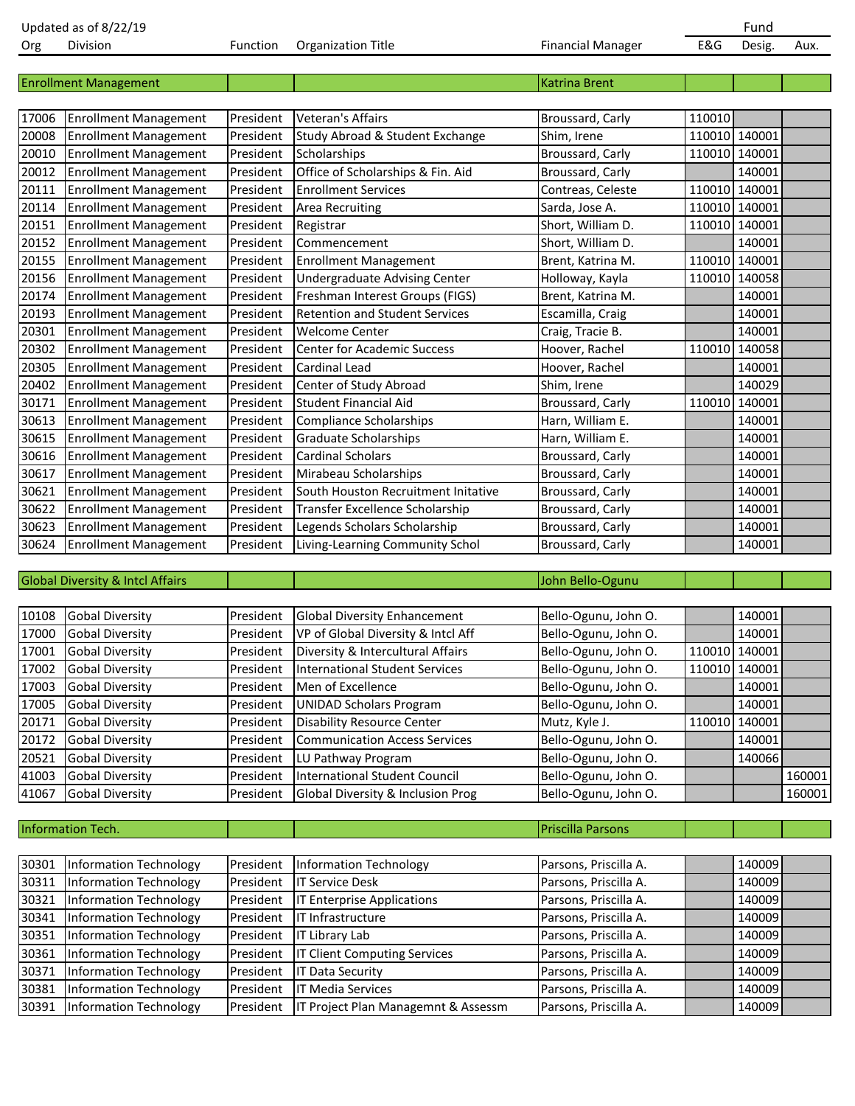| Org   | Division                                    | Function  | <b>Organization Title</b>             | <b>Financial Manager</b> | E&G           | Desig.        | Aux.   |
|-------|---------------------------------------------|-----------|---------------------------------------|--------------------------|---------------|---------------|--------|
|       |                                             |           |                                       |                          |               |               |        |
|       | <b>Enrollment Management</b>                |           |                                       | <b>Katrina Brent</b>     |               |               |        |
|       |                                             |           |                                       |                          |               |               |        |
| 17006 | <b>Enrollment Management</b>                | President | <b>Veteran's Affairs</b>              | Broussard, Carly         | 110010        |               |        |
| 20008 | <b>Enrollment Management</b>                | President | Study Abroad & Student Exchange       | Shim, Irene              |               | 110010 140001 |        |
| 20010 | <b>Enrollment Management</b>                | President | Scholarships                          | Broussard, Carly         |               | 110010 140001 |        |
| 20012 | <b>Enrollment Management</b>                | President | Office of Scholarships & Fin. Aid     | Broussard, Carly         |               | 140001        |        |
| 20111 | <b>Enrollment Management</b>                | President | <b>Enrollment Services</b>            | Contreas, Celeste        |               | 110010 140001 |        |
| 20114 | <b>Enrollment Management</b>                | President | <b>Area Recruiting</b>                | Sarda, Jose A.           |               | 110010 140001 |        |
| 20151 | <b>Enrollment Management</b>                | President | Registrar                             | Short, William D.        |               | 110010 140001 |        |
| 20152 | <b>Enrollment Management</b>                | President | Commencement                          | Short, William D.        |               | 140001        |        |
| 20155 | <b>Enrollment Management</b>                | President | <b>Enrollment Management</b>          | Brent, Katrina M.        |               | 110010 140001 |        |
| 20156 | <b>Enrollment Management</b>                | President | <b>Undergraduate Advising Center</b>  | Holloway, Kayla          |               | 110010 140058 |        |
| 20174 | <b>Enrollment Management</b>                | President | Freshman Interest Groups (FIGS)       | Brent, Katrina M.        |               | 140001        |        |
| 20193 | <b>Enrollment Management</b>                | President | <b>Retention and Student Services</b> | Escamilla, Craig         |               | 140001        |        |
| 20301 | <b>Enrollment Management</b>                | President | <b>Welcome Center</b>                 | Craig, Tracie B.         |               | 140001        |        |
| 20302 | <b>Enrollment Management</b>                | President | <b>Center for Academic Success</b>    | Hoover, Rachel           |               | 110010 140058 |        |
| 20305 | <b>Enrollment Management</b>                | President | Cardinal Lead                         | Hoover, Rachel           |               | 140001        |        |
| 20402 | <b>Enrollment Management</b>                | President | Center of Study Abroad                | Shim, Irene              |               | 140029        |        |
| 30171 | <b>Enrollment Management</b>                | President | <b>Student Financial Aid</b>          | Broussard, Carly         | 110010 140001 |               |        |
| 30613 | <b>Enrollment Management</b>                | President | <b>Compliance Scholarships</b>        | Harn, William E.         |               | 140001        |        |
| 30615 | <b>Enrollment Management</b>                | President | Graduate Scholarships                 | Harn, William E.         |               | 140001        |        |
| 30616 | <b>Enrollment Management</b>                | President | <b>Cardinal Scholars</b>              | Broussard, Carly         |               | 140001        |        |
| 30617 | <b>Enrollment Management</b>                | President | Mirabeau Scholarships                 | Broussard, Carly         |               | 140001        |        |
| 30621 | <b>Enrollment Management</b>                | President | South Houston Recruitment Initative   | Broussard, Carly         |               | 140001        |        |
| 30622 | <b>Enrollment Management</b>                | President | Transfer Excellence Scholarship       | Broussard, Carly         |               | 140001        |        |
| 30623 | <b>Enrollment Management</b>                | President | Legends Scholars Scholarship          | Broussard, Carly         |               | 140001        |        |
| 30624 | <b>Enrollment Management</b>                | President | Living-Learning Community Schol       | Broussard, Carly         |               | 140001        |        |
|       |                                             |           |                                       |                          |               |               |        |
|       | <b>Global Diversity &amp; Intcl Affairs</b> |           |                                       | John Bello-Ogunu         |               |               |        |
|       |                                             |           |                                       |                          |               |               |        |
| 10108 | <b>Gobal Diversity</b>                      | President | <b>Global Diversity Enhancement</b>   | Bello-Ogunu, John O.     |               | 140001        |        |
| 17000 | <b>Gobal Diversity</b>                      | President | VP of Global Diversity & Intcl Aff    | Bello-Ogunu, John O.     |               | 140001        |        |
| 17001 | <b>Gobal Diversity</b>                      | President | Diversity & Intercultural Affairs     | Bello-Ogunu, John O.     |               | 110010 140001 |        |
| 17002 | Gobal Diversity                             | President | International Student Services        | Bello-Ogunu, John O.     |               | 110010 140001 |        |
| 17003 | <b>Gobal Diversity</b>                      | President | Men of Excellence                     | Bello-Ogunu, John O.     |               | 140001        |        |
| 17005 | <b>Gobal Diversity</b>                      | President | <b>UNIDAD Scholars Program</b>        | Bello-Ogunu, John O.     |               | 140001        |        |
| 20171 | <b>Gobal Diversity</b>                      | President | <b>Disability Resource Center</b>     | Mutz, Kyle J.            | 110010        | 140001        |        |
| 20172 | <b>Gobal Diversity</b>                      | President | <b>Communication Access Services</b>  | Bello-Ogunu, John O.     |               | 140001        |        |
| 20521 | <b>Gobal Diversity</b>                      | President | LU Pathway Program                    | Bello-Ogunu, John O.     |               | 140066        |        |
| 41003 | <b>Gobal Diversity</b>                      | President | <b>International Student Council</b>  | Bello-Ogunu, John O.     |               |               | 160001 |
| 41067 | <b>Gobal Diversity</b>                      | President | Global Diversity & Inclusion Prog     | Bello-Ogunu, John O.     |               |               | 160001 |

| Information Tech. |  |  |
|-------------------|--|--|
|                   |  |  |

**Priscilla Parsons** 

| 30301 | Information Technology        | President | Information Technology              | Parsons, Priscilla A. | 140009 |  |
|-------|-------------------------------|-----------|-------------------------------------|-----------------------|--------|--|
| 30311 | Information Technology        | President | <b>IT Service Desk</b>              | Parsons, Priscilla A. | 140009 |  |
| 30321 | Information Technology        | President | <b>IT Enterprise Applications</b>   | Parsons, Priscilla A. | 140009 |  |
| 30341 | <b>Information Technology</b> | President | IT Infrastructure                   | Parsons, Priscilla A. | 140009 |  |
| 30351 | Information Technology        | President | <b>IT Library Lab</b>               | Parsons, Priscilla A. | 140009 |  |
| 30361 | <b>Information Technology</b> | President | <b>IT Client Computing Services</b> | Parsons, Priscilla A. | 140009 |  |
| 30371 | Information Technology        | President | <b>IT Data Security</b>             | Parsons, Priscilla A. | 140009 |  |
| 30381 | <b>Information Technology</b> | President | <b>IT Media Services</b>            | Parsons, Priscilla A. | 140009 |  |
| 30391 | Information Technology        | President | IT Project Plan Managemnt & Assessm | Parsons, Priscilla A. | 140009 |  |